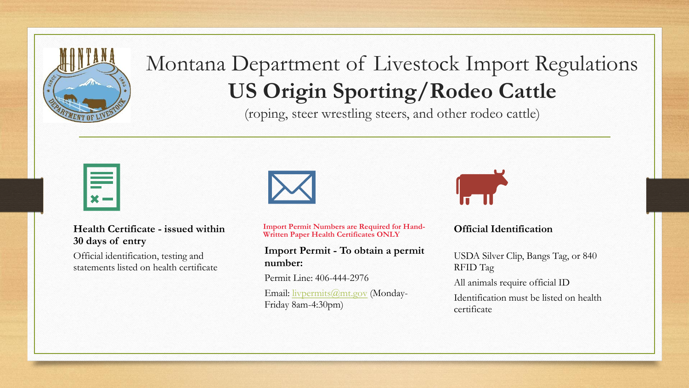

# Montana Department of Livestock Import Regulations **US Origin Sporting/Rodeo Cattle**

(roping, steer wrestling steers, and other rodeo cattle)

#### **Health Certificate - issued within 30 days of entry**

Official identification, testing and statements listed on health certificate



**Import Permit Numbers are Required for Hand-Written Paper Health Certificates ONLY**

**Import Permit - To obtain a permit number:**

Permit Line: 406-444-2976

Email: [livpermits@mt.gov](mailto:livpermits@mt.gov) (Monday-Friday 8am-4:30pm)



#### **Official Identification**

USDA Silver Clip, Bangs Tag, or 840 RFID Tag

All animals require official ID

Identification must be listed on health certificate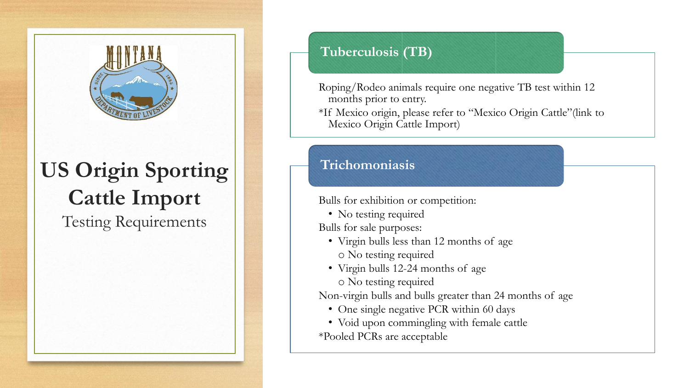

# **US Origin Sporting Cattle Import**

Testing Requirements

### **Tuberculosis (TB)**

Roping/Rodeo animals require one negative TB test within 12 months prior to entry.

\*If Mexico origin, please refer to "Mexico Origin Cattle"(link to Mexico Origin Cattle Import)

### **Trichomoniasis**

Bulls for exhibition or competition:

• No testing required

Bulls for sale purposes:

- Virgin bulls less than 12 months of age o No testing required
- Virgin bulls 12-24 months of age o No testing required

Non-virgin bulls and bulls greater than 24 months of age

- One single negative PCR within 60 days
- Void upon commingling with female cattle \*Pooled PCRs are acceptable